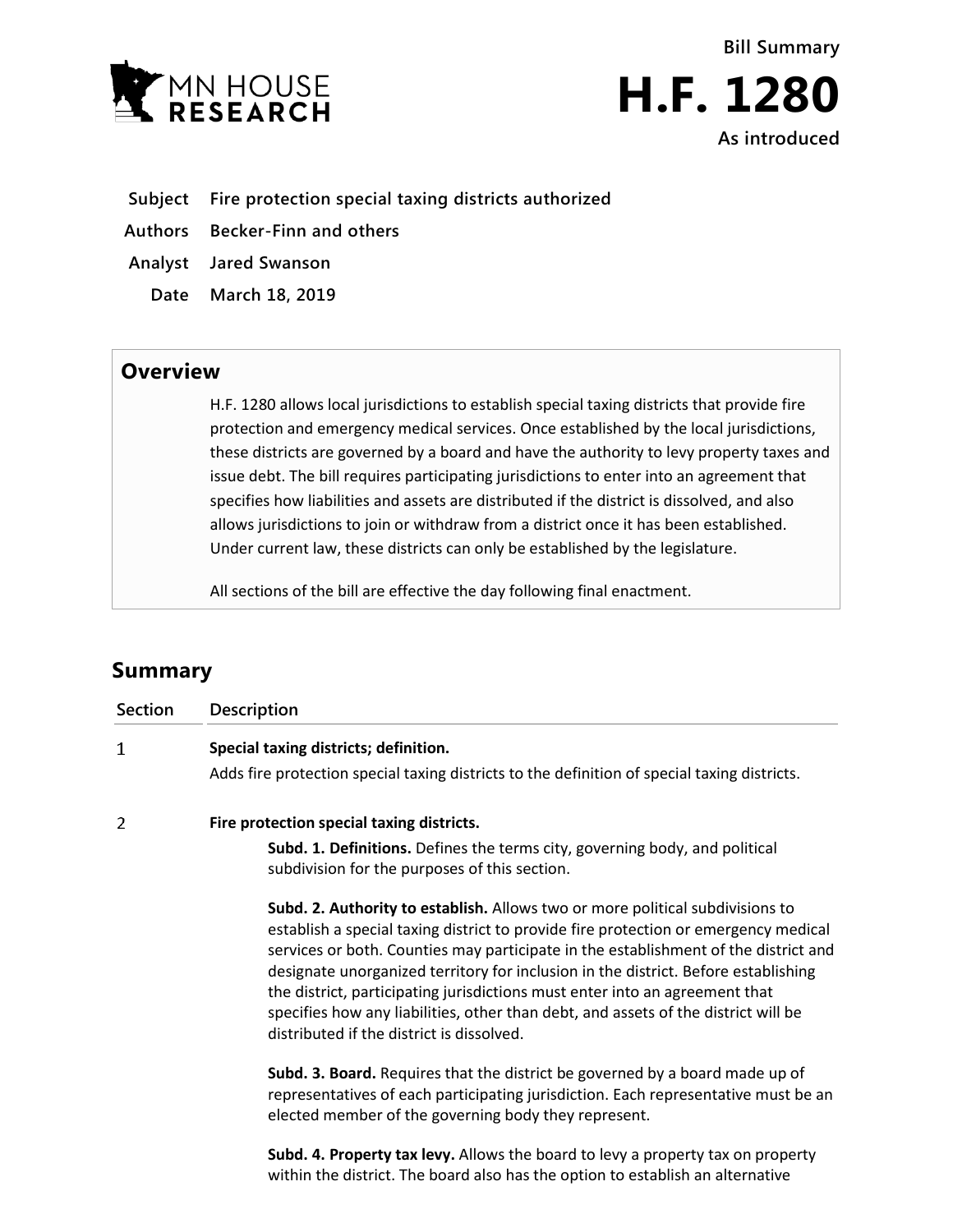



- **Subject Fire protection special taxing districts authorized**
- **Authors Becker-Finn and others**
- **Analyst Jared Swanson**
	- **Date March 18, 2019**

## **Overview**

H.F. 1280 allows local jurisdictions to establish special taxing districts that provide fire protection and emergency medical services. Once established by the local jurisdictions, these districts are governed by a board and have the authority to levy property taxes and issue debt. The bill requires participating jurisdictions to enter into an agreement that specifies how liabilities and assets are distributed if the district is dissolved, and also allows jurisdictions to join or withdraw from a district once it has been established. Under current law, these districts can only be established by the legislature.

All sections of the bill are effective the day following final enactment.

## **Summary**

| <b>Section</b> | <b>Description</b>                                                                                                                                                                                                                                                                                                                                                                                                                                                                                                                                                  |
|----------------|---------------------------------------------------------------------------------------------------------------------------------------------------------------------------------------------------------------------------------------------------------------------------------------------------------------------------------------------------------------------------------------------------------------------------------------------------------------------------------------------------------------------------------------------------------------------|
| 1              | Special taxing districts; definition.<br>Adds fire protection special taxing districts to the definition of special taxing districts.                                                                                                                                                                                                                                                                                                                                                                                                                               |
| 2              | Fire protection special taxing districts.                                                                                                                                                                                                                                                                                                                                                                                                                                                                                                                           |
|                | Subd. 1. Definitions. Defines the terms city, governing body, and political<br>subdivision for the purposes of this section.                                                                                                                                                                                                                                                                                                                                                                                                                                        |
|                | Subd. 2. Authority to establish. Allows two or more political subdivisions to<br>establish a special taxing district to provide fire protection or emergency medical<br>services or both. Counties may participate in the establishment of the district and<br>designate unorganized territory for inclusion in the district. Before establishing<br>the district, participating jurisdictions must enter into an agreement that<br>specifies how any liabilities, other than debt, and assets of the district will be<br>distributed if the district is dissolved. |
|                | Subd. 3. Board. Requires that the district be governed by a board made up of<br>representatives of each participating jurisdiction. Each representative must be an<br>elected member of the governing body they represent.                                                                                                                                                                                                                                                                                                                                          |
|                | Subd. 4. Property tax levy. Allows the board to levy a property tax on property<br>within the district. The board also has the option to establish an alternative                                                                                                                                                                                                                                                                                                                                                                                                   |